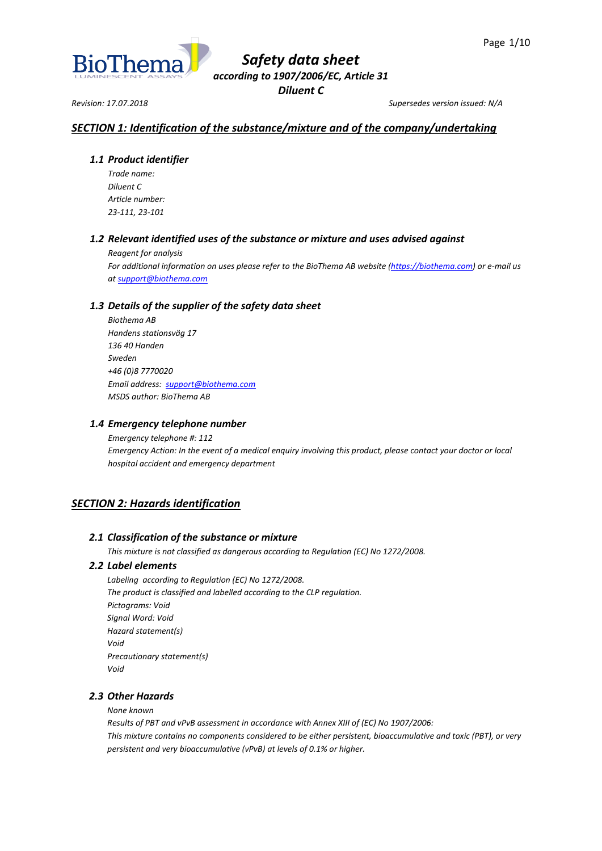

*Revision: 17.07.2018 Supersedes version issued: N/A*

## *SECTION 1: Identification of the substance/mixture and of the company/undertaking*

## *1.1 Product identifier*

*Trade name: Diluent C Article number: 23-111, 23-101*

## *1.2 Relevant identified uses of the substance or mixture and uses advised against*

*Reagent for analysis*

*For additional information on uses please refer to the BioThema AB website [\(https://biothema.com\)](https://biothema.com/) or e-mail us a[t support@biothema.com](mailto:support@biothema.com)*

## *1.3 Details of the supplier of the safety data sheet*

*Biothema AB Handens stationsväg 17 136 40 Handen Sweden +46 (0)8 7770020 Email address: [support@biothema.com](mailto:support@biothema.com) MSDS author: BioThema AB*

## *1.4 Emergency telephone number*

*Emergency telephone #: 112 Emergency Action: In the event of a medical enquiry involving this product, please contact your doctor or local hospital accident and emergency department*

## *SECTION 2: Hazards identification*

## *2.1 Classification of the substance or mixture*

*This mixture is not classified as dangerous according to Regulation (EC) No 1272/2008.*

## *2.2 Label elements*

*Labeling according to Regulation (EC) No 1272/2008. The product is classified and labelled according to the CLP regulation. Pictograms: Void Signal Word: Void Hazard statement(s) Void Precautionary statement(s) Void*

## *2.3 Other Hazards*

*None known*

*Results of PBT and vPvB assessment in accordance with Annex XIII of (EC) No 1907/2006: This mixture contains no components considered to be either persistent, bioaccumulative and toxic (PBT), or very persistent and very bioaccumulative (vPvB) at levels of 0.1% or higher.*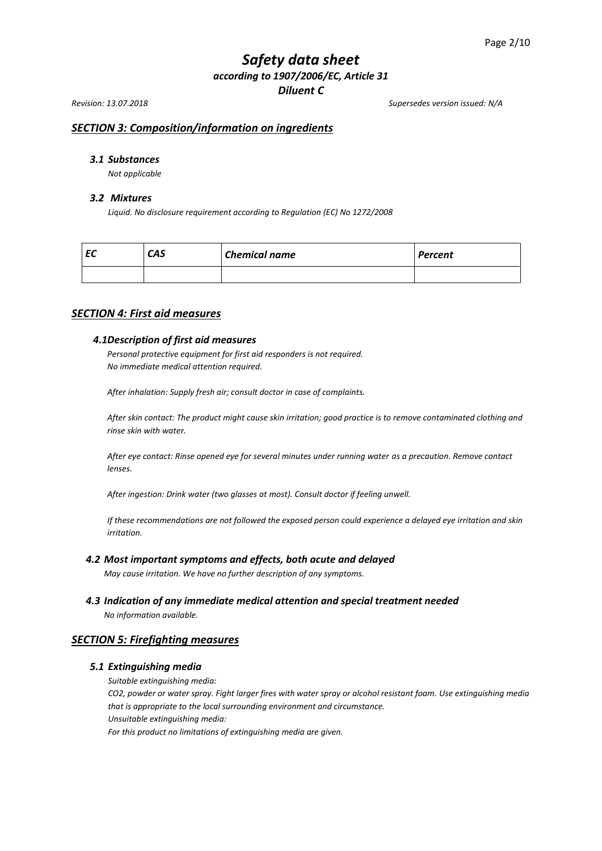*Revision: 13.07.2018 Supersedes version issued: N/A*

## *SECTION 3: Composition/information on ingredients*

## *3.1 Substances*

*Not applicable*

#### *3.2 Mixtures*

*Liquid. No disclosure requirement according to Regulation (EC) No 1272/2008*

| cu | <b>CAS</b> | <b>Chemical name</b> | <b>Percent</b> |
|----|------------|----------------------|----------------|
|    |            |                      |                |

## *SECTION 4: First aid measures*

### *4.1Description of first aid measures*

*Personal protective equipment for first aid responders is not required. No immediate medical attention required.*

*After inhalation: Supply fresh air; consult doctor in case of complaints.*

*After skin contact: The product might cause skin irritation; good practice is to remove contaminated clothing and rinse skin with water.*

*After eye contact: Rinse opened eye for several minutes under running water as a precaution. Remove contact lenses.*

*After ingestion: Drink water (two glasses at most). Consult doctor if feeling unwell.*

*If these recommendations are not followed the exposed person could experience a delayed eye irritation and skin irritation.*

#### *4.2 Most important symptoms and effects, both acute and delayed*

*May cause irritation. We have no further description of any symptoms.*

*4.3 Indication of any immediate medical attention and special treatment needed*

*No information available.*

## *SECTION 5: Firefighting measures*

## *5.1 Extinguishing media*

*Suitable extinguishing media:*

*CO2, powder or water spray. Fight larger fires with water spray or alcohol resistant foam. Use extinguishing media that is appropriate to the local surrounding environment and circumstance. Unsuitable extinguishing media:*

*For this product no limitations of extinguishing media are given.*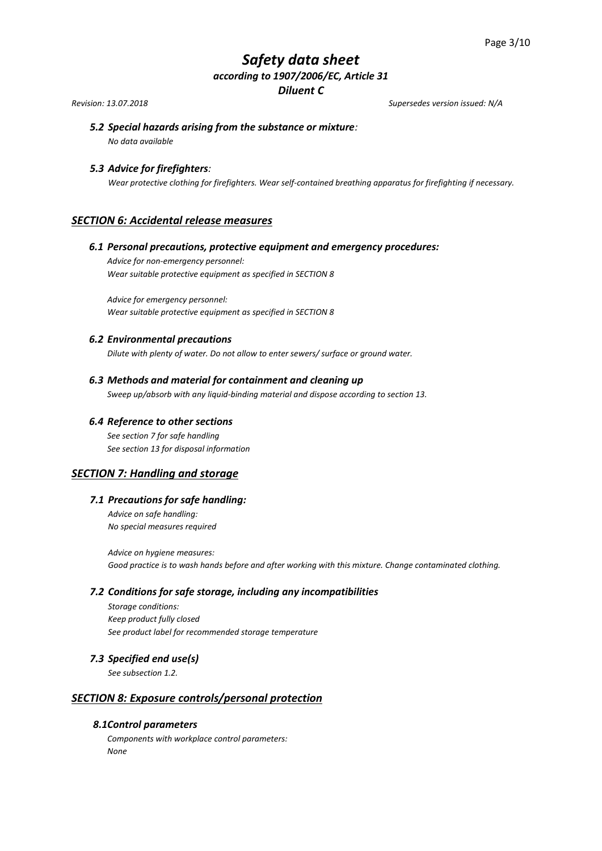*Revision: 13.07.2018 Supersedes version issued: N/A*

# *5.2 Special hazards arising from the substance or mixture:*

*No data available*

## *5.3 Advice for firefighters:*

*Wear protective clothing for firefighters. Wear self-contained breathing apparatus for firefighting if necessary.*

## *SECTION 6: Accidental release measures*

## *6.1 Personal precautions, protective equipment and emergency procedures:*

*Advice for non-emergency personnel: Wear suitable protective equipment as specified in SECTION 8*

*Advice for emergency personnel: Wear suitable protective equipment as specified in SECTION 8* 

## *6.2 Environmental precautions*

*Dilute with plenty of water. Do not allow to enter sewers/ surface or ground water.*

## *6.3 Methods and material for containment and cleaning up*

*Sweep up/absorb with any liquid-binding material and dispose according to section 13.*

## *6.4 Reference to other sections*

*See section 7 for safe handling See section 13 for disposal information*

## *SECTION 7: Handling and storage*

## *7.1 Precautions for safe handling:*

*Advice on safe handling: No special measures required*

*Advice on hygiene measures: Good practice is to wash hands before and after working with this mixture. Change contaminated clothing.*

## *7.2 Conditions for safe storage, including any incompatibilities*

*Storage conditions: Keep product fully closed See product label for recommended storage temperature* 

## *7.3 Specified end use(s)*

*See subsection 1.2.*

## *SECTION 8: Exposure controls/personal protection*

## *8.1Control parameters*

*Components with workplace control parameters: None*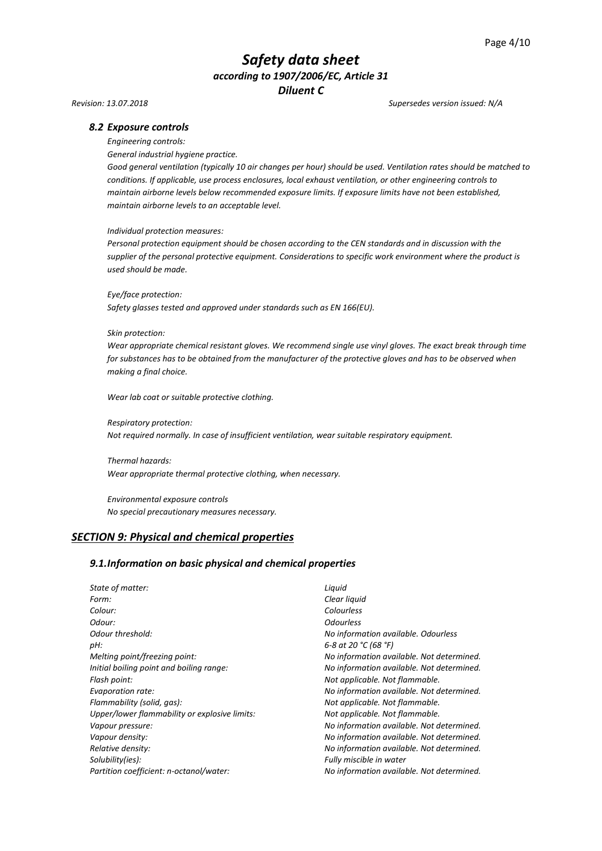#### *Revision: 13.07.2018 Supersedes version issued: N/A*

#### *8.2 Exposure controls*

*Engineering controls:*

*General industrial hygiene practice.*

*Good general ventilation (typically 10 air changes per hour) should be used. Ventilation rates should be matched to conditions. If applicable, use process enclosures, local exhaust ventilation, or other engineering controls to maintain airborne levels below recommended exposure limits. If exposure limits have not been established, maintain airborne levels to an acceptable level.*

#### *Individual protection measures:*

*Personal protection equipment should be chosen according to the CEN standards and in discussion with the supplier of the personal protective equipment. Considerations to specific work environment where the product is used should be made.*

*Eye/face protection:*

*Safety glasses tested and approved under standards such as EN 166(EU).*

#### *Skin protection:*

*Wear appropriate chemical resistant gloves. We recommend single use vinyl gloves. The exact break through time for substances has to be obtained from the manufacturer of the protective gloves and has to be observed when making a final choice.*

*Wear lab coat or suitable protective clothing.*

*Respiratory protection: Not required normally. In case of insufficient ventilation, wear suitable respiratory equipment.*

*Thermal hazards: Wear appropriate thermal protective clothing, when necessary.*

*Environmental exposure controls No special precautionary measures necessary.*

#### *SECTION 9: Physical and chemical properties*

#### *9.1.Information on basic physical and chemical properties*

*State of matter: Liquid Form: Clear liquid Colour: Colourless Odour: Odourless Odour threshold: No information available. Odourless pH: 6-8 at 20 °C (68 °F) Melting point/freezing point: No information available. Not determined. Initial boiling point and boiling range: No information available. Not determined. Flash point: Not applicable. Not flammable. Evaporation rate: No information available. Not determined. Flammability (solid, gas): Not applicable. Not flammable. Upper/lower flammability or explosive limits: Not applicable. Not flammable. Vapour pressure: No information available. Not determined. Vapour density: No information available. Not determined. Relative density: No information available. Not determined. Solubility(ies): Fully miscible in water Partition coefficient: n-octanol/water: No information available. Not determined.*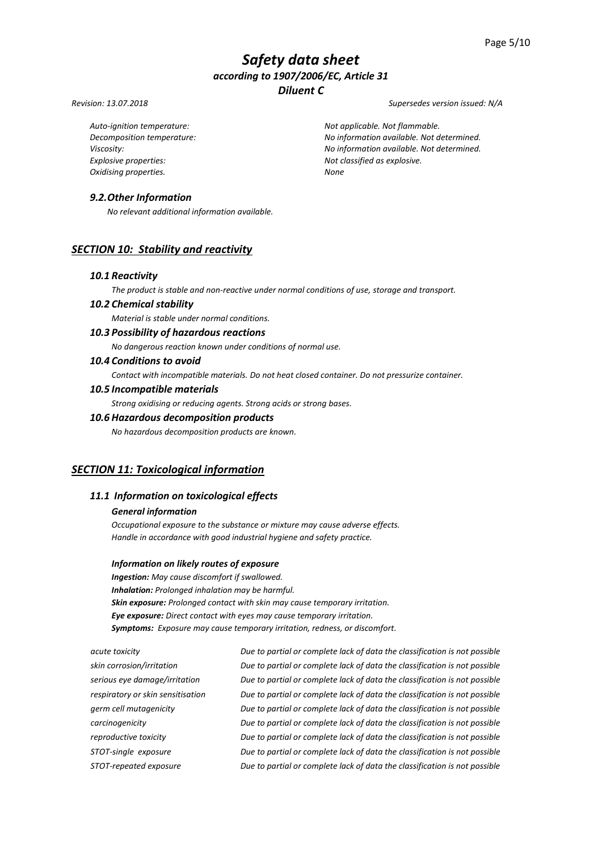#### *Revision: 13.07.2018 Supersedes version issued: N/A*

*Explosive properties: Not classified as explosive. Oxidising properties. None*

*Auto-ignition temperature: Not applicable. Not flammable. Decomposition temperature: No information available. Not determined. Viscosity: No information available. Not determined.*

## *9.2.Other Information*

*No relevant additional information available.*

## *SECTION 10: Stability and reactivity*

#### *10.1 Reactivity*

*The product is stable and non-reactive under normal conditions of use, storage and transport.*

### *10.2 Chemical stability*

*Material is stable under normal conditions.*

## *10.3 Possibility of hazardous reactions*

*No dangerous reaction known under conditions of normal use.*

### *10.4 Conditions to avoid*

*Contact with incompatible materials. Do not heat closed container. Do not pressurize container.*

#### *10.5 Incompatible materials*

*Strong oxidising or reducing agents. Strong acids or strong bases.*

## *10.6 Hazardous decomposition products*

*No hazardous decomposition products are known.*

## *SECTION 11: Toxicological information*

## *11.1 Information on toxicological effects*

#### *General information*

*Occupational exposure to the substance or mixture may cause adverse effects. Handle in accordance with good industrial hygiene and safety practice.*

#### *Information on likely routes of exposure*

*Ingestion: May cause discomfort if swallowed. Inhalation: Prolonged inhalation may be harmful. Skin exposure: Prolonged contact with skin may cause temporary irritation. Eye exposure: Direct contact with eyes may cause temporary irritation. Symptoms: Exposure may cause temporary irritation, redness, or discomfort.*

*acute toxicity Due to partial or complete lack of data the classification is not possible skin corrosion/irritation Due to partial or complete lack of data the classification is not possible serious eye damage/irritation Due to partial or complete lack of data the classification is not possible respiratory or skin sensitisation Due to partial or complete lack of data the classification is not possible germ cell mutagenicity Due to partial or complete lack of data the classification is not possible carcinogenicity Due to partial or complete lack of data the classification is not possible reproductive toxicity Due to partial or complete lack of data the classification is not possible STOT-single exposure Due to partial or complete lack of data the classification is not possible STOT-repeated exposure Due to partial or complete lack of data the classification is not possible*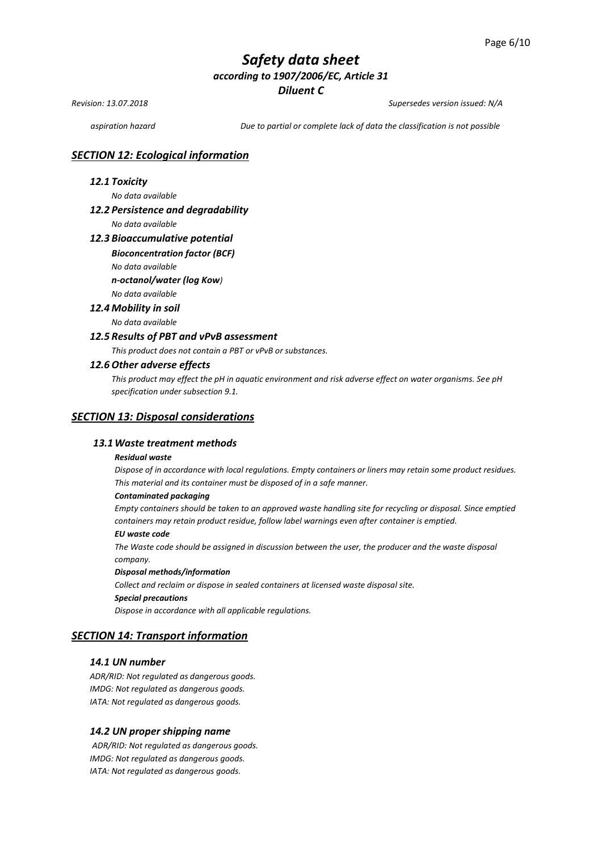*Revision: 13.07.2018 Supersedes version issued: N/A*

*aspiration hazard Due to partial or complete lack of data the classification is not possible*

### *SECTION 12: Ecological information*

### *12.1 Toxicity*

*No data available* 

#### *12.2 Persistence and degradability*

*No data available*

#### *12.3 Bioaccumulative potential*

#### *Bioconcentration factor (BCF)*

*No data available* 

*n-octanol/water (log Kow)*

## *No data available*

*12.4 Mobility in soil* 

*No data available* 

#### *12.5 Results of PBT and vPvB assessment*

*This product does not contain a PBT or vPvB or substances.*

#### *12.6 Other adverse effects*

*This product may effect the pH in aquatic environment and risk adverse effect on water organisms. See pH specification under subsection 9.1.*

#### *SECTION 13: Disposal considerations*

#### *13.1Waste treatment methods*

#### *Residual waste*

*Dispose of in accordance with local regulations. Empty containers or liners may retain some product residues. This material and its container must be disposed of in a safe manner.*

#### *Contaminated packaging*

*Empty containers should be taken to an approved waste handling site for recycling or disposal. Since emptied containers may retain product residue, follow label warnings even after container is emptied.*

#### *EU waste code*

*The Waste code should be assigned in discussion between the user, the producer and the waste disposal company.*

#### *Disposal methods/information*

*Collect and reclaim or dispose in sealed containers at licensed waste disposal site. Special precautions*

*Dispose in accordance with all applicable regulations.*

## *SECTION 14: Transport information*

### *14.1 UN number*

*ADR/RID: Not regulated as dangerous goods. IMDG: Not regulated as dangerous goods. IATA: Not regulated as dangerous goods.*

#### *14.2 UN proper shipping name*

*ADR/RID: Not regulated as dangerous goods. IMDG: Not regulated as dangerous goods. IATA: Not regulated as dangerous goods.*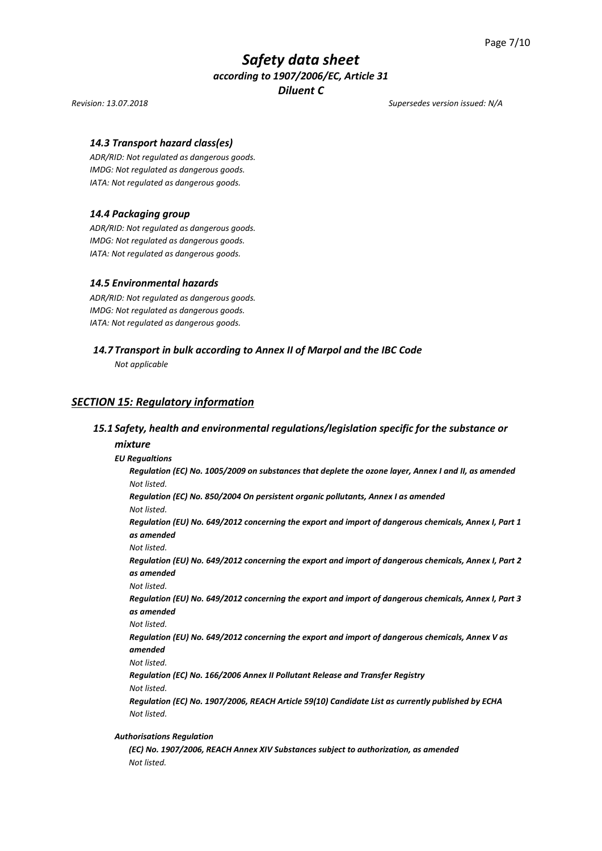#### *Revision: 13.07.2018 Supersedes version issued: N/A*

#### *14.3 Transport hazard class(es)*

*ADR/RID: Not regulated as dangerous goods. IMDG: Not regulated as dangerous goods. IATA: Not regulated as dangerous goods.*

#### *14.4 Packaging group*

*ADR/RID: Not regulated as dangerous goods. IMDG: Not regulated as dangerous goods. IATA: Not regulated as dangerous goods.*

#### *14.5 Environmental hazards*

*ADR/RID: Not regulated as dangerous goods. IMDG: Not regulated as dangerous goods. IATA: Not regulated as dangerous goods.*

#### *14.7 Transport in bulk according to Annex II of Marpol and the IBC Code*

*Not applicable*

### *SECTION 15: Regulatory information*

#### *15.1 Safety, health and environmental regulations/legislation specific for the substance or*

#### *mixture*

#### *EU Regualtions*

*Regulation (EC) No. 1005/2009 on substances that deplete the ozone layer, Annex I and II, as amended Not listed.*

*Regulation (EC) No. 850/2004 On persistent organic pollutants, Annex I as amended Not listed.*

*Regulation (EU) No. 649/2012 concerning the export and import of dangerous chemicals, Annex I, Part 1 as amended* 

*Not listed.*

*Regulation (EU) No. 649/2012 concerning the export and import of dangerous chemicals, Annex I, Part 2 as amended*

*Not listed.*

*Regulation (EU) No. 649/2012 concerning the export and import of dangerous chemicals, Annex I, Part 3 as amended*

*Not listed.*

*Regulation (EU) No. 649/2012 concerning the export and import of dangerous chemicals, Annex V as amended*

*Not listed.*

*Regulation (EC) No. 166/2006 Annex II Pollutant Release and Transfer Registry Not listed.*

*Regulation (EC) No. 1907/2006, REACH Article 59(10) Candidate List as currently published by ECHA Not listed.*

#### *Authorisations Regulation*

*(EC) No. 1907/2006, REACH Annex XIV Substances subject to authorization, as amended Not listed.*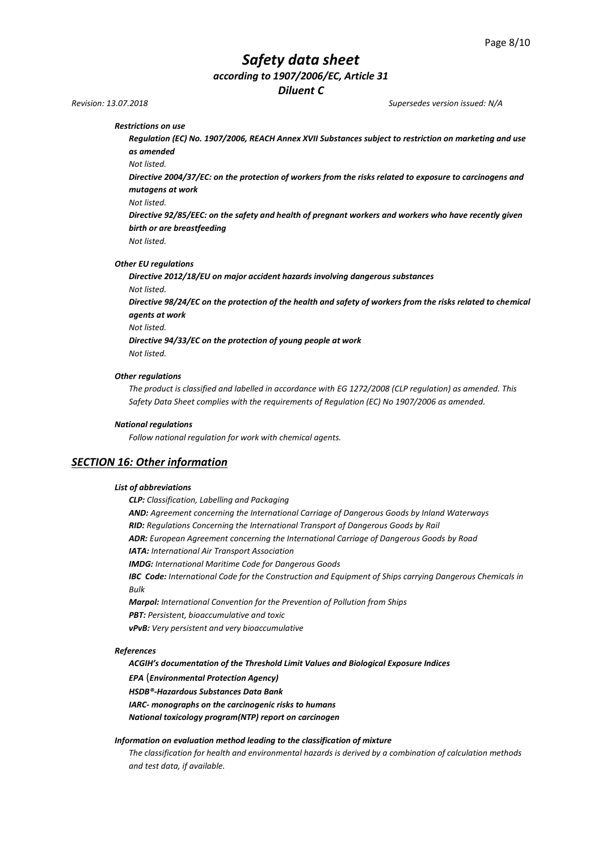# *Safety data sheet*

*according to 1907/2006/EC, Article 31*

*Diluent C*

*Revision: 13.07.2018 Supersedes version issued: N/A*

*Restrictions on use* 

*Regulation (EC) No. 1907/2006, REACH Annex XVII Substances subject to restriction on marketing and use as amended*

*Not listed.*

*Directive 2004/37/EC: on the protection of workers from the risks related to exposure to carcinogens and mutagens at work*

*Not listed.*

*Directive 92/85/EEC: on the safety and health of pregnant workers and workers who have recently given birth or are breastfeeding*

*Not listed.*

*Other EU regulations*

*Directive 2012/18/EU on major accident hazards involving dangerous substances Not listed.* 

*Directive 98/24/EC on the protection of the health and safety of workers from the risks related to chemical agents at work* 

*Not listed.*

*Directive 94/33/EC on the protection of young people at work Not listed.*

*Other regulations*

*The product is classified and labelled in accordance with EG 1272/2008 (CLP regulation) as amended. This Safety Data Sheet complies with the requirements of Regulation (EC) No 1907/2006 as amended.*

#### *National regulations*

*Follow national regulation for work with chemical agents.*

## *SECTION 16: Other information*

#### *List of abbreviations*

*CLP: Classification, Labelling and Packaging AND: Agreement concerning the International Carriage of Dangerous Goods by Inland Waterways RID: Regulations Concerning the International Transport of Dangerous Goods by Rail ADR: European Agreement concerning the International Carriage of Dangerous Goods by Road IATA: International Air Transport Association IMDG: International Maritime Code for Dangerous Goods IBC Code: International Code for the Construction and Equipment of Ships carrying Dangerous Chemicals in Bulk Marpol: International Convention for the Prevention of Pollution from Ships PBT: Persistent, bioaccumulative and toxic vPvB: Very persistent and very bioaccumulative*

#### *References*

*ACGIH's documentation of the Threshold Limit Values and Biological Exposure Indices* 

*EPA* (*Environmental Protection Agency)*

*HSDB®-Hazardous Substances Data Bank*

*IARC- monographs on the carcinogenic risks to humans*

*National toxicology program(NTP) report on carcinogen*

#### *Information on evaluation method leading to the classification of mixture*

*The classification for health and environmental hazards is derived by a combination of calculation methods and test data, if available.*